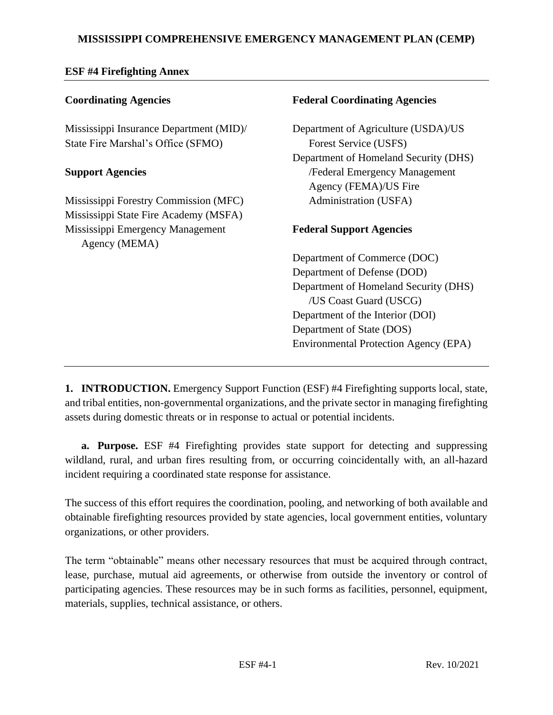# **MISSISSIPPI COMPREHENSIVE EMERGENCY MANAGEMENT PLAN (CEMP)**

## **ESF #4 Firefighting Annex**

### **Coordinating Agencies**

Mississippi Insurance Department (MID)/ State Fire Marshal's Office (SFMO)

#### **Support Agencies**

Mississippi Forestry Commission (MFC) Mississippi State Fire Academy (MSFA) Mississippi Emergency Management Agency (MEMA)

### **Federal Coordinating Agencies**

Department of Agriculture (USDA)/US Forest Service (USFS) Department of Homeland Security (DHS) /Federal Emergency Management Agency (FEMA)/US Fire Administration (USFA)

## **Federal Support Agencies**

Department of Commerce (DOC) Department of Defense (DOD) Department of Homeland Security (DHS) /US Coast Guard (USCG) Department of the Interior (DOI) Department of State (DOS) Environmental Protection Agency (EPA)

**1. INTRODUCTION.** Emergency Support Function (ESF) #4 Firefighting supports local, state, and tribal entities, non-governmental organizations, and the private sector in managing firefighting assets during domestic threats or in response to actual or potential incidents.

**a. Purpose.** ESF #4 Firefighting provides state support for detecting and suppressing wildland, rural, and urban fires resulting from, or occurring coincidentally with, an all-hazard incident requiring a coordinated state response for assistance.

The success of this effort requires the coordination, pooling, and networking of both available and obtainable firefighting resources provided by state agencies, local government entities, voluntary organizations, or other providers.

The term "obtainable" means other necessary resources that must be acquired through contract, lease, purchase, mutual aid agreements, or otherwise from outside the inventory or control of participating agencies. These resources may be in such forms as facilities, personnel, equipment, materials, supplies, technical assistance, or others.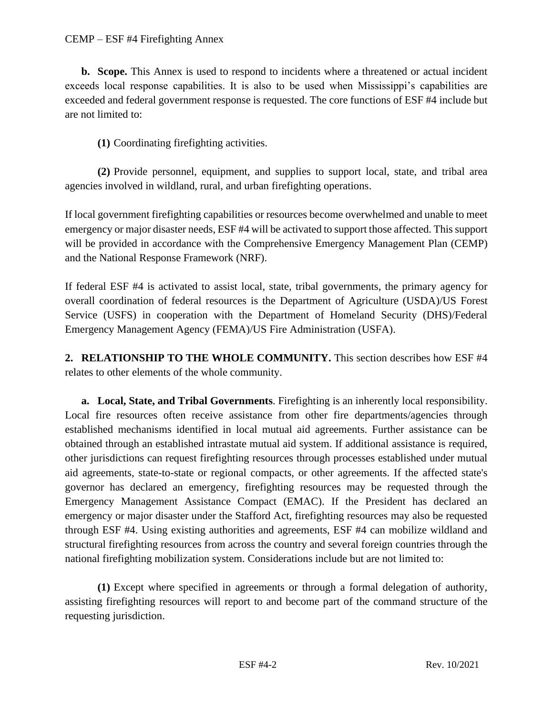**b. Scope.** This Annex is used to respond to incidents where a threatened or actual incident exceeds local response capabilities. It is also to be used when Mississippi's capabilities are exceeded and federal government response is requested. The core functions of ESF #4 include but are not limited to:

**(1)** Coordinating firefighting activities.

**(2)** Provide personnel, equipment, and supplies to support local, state, and tribal area agencies involved in wildland, rural, and urban firefighting operations.

If local government firefighting capabilities or resources become overwhelmed and unable to meet emergency or major disaster needs, ESF #4 will be activated to support those affected. This support will be provided in accordance with the Comprehensive Emergency Management Plan (CEMP) and the National Response Framework (NRF).

If federal ESF #4 is activated to assist local, state, tribal governments, the primary agency for overall coordination of federal resources is the Department of Agriculture (USDA)/US Forest Service (USFS) in cooperation with the Department of Homeland Security (DHS)/Federal Emergency Management Agency (FEMA)/US Fire Administration (USFA).

**2. RELATIONSHIP TO THE WHOLE COMMUNITY.** This section describes how ESF #4 relates to other elements of the whole community.

**a. Local, State, and Tribal Governments**. Firefighting is an inherently local responsibility. Local fire resources often receive assistance from other fire departments/agencies through established mechanisms identified in local mutual aid agreements. Further assistance can be obtained through an established intrastate mutual aid system. If additional assistance is required, other jurisdictions can request firefighting resources through processes established under mutual aid agreements, state-to-state or regional compacts, or other agreements. If the affected state's governor has declared an emergency, firefighting resources may be requested through the Emergency Management Assistance Compact (EMAC). If the President has declared an emergency or major disaster under the Stafford Act, firefighting resources may also be requested through ESF #4. Using existing authorities and agreements, ESF #4 can mobilize wildland and structural firefighting resources from across the country and several foreign countries through the national firefighting mobilization system. Considerations include but are not limited to:

**(1)** Except where specified in agreements or through a formal delegation of authority, assisting firefighting resources will report to and become part of the command structure of the requesting jurisdiction.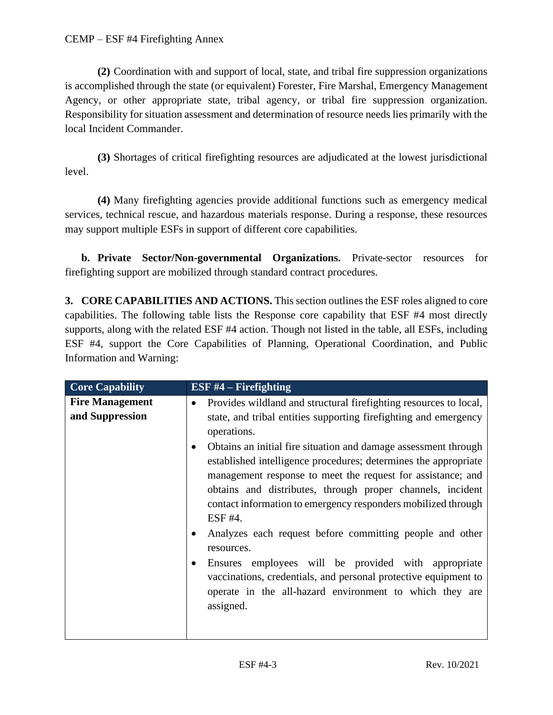**(2)** Coordination with and support of local, state, and tribal fire suppression organizations is accomplished through the state (or equivalent) Forester, Fire Marshal, Emergency Management Agency, or other appropriate state, tribal agency, or tribal fire suppression organization. Responsibility for situation assessment and determination of resource needs lies primarily with the local Incident Commander.

**(3)** Shortages of critical firefighting resources are adjudicated at the lowest jurisdictional level.

**(4)** Many firefighting agencies provide additional functions such as emergency medical services, technical rescue, and hazardous materials response. During a response, these resources may support multiple ESFs in support of different core capabilities.

**b. Private Sector/Non-governmental Organizations.** Private-sector resources for firefighting support are mobilized through standard contract procedures.

**3. CORE CAPABILITIES AND ACTIONS.** This section outlines the ESF roles aligned to core capabilities. The following table lists the Response core capability that ESF #4 most directly supports, along with the related ESF #4 action. Though not listed in the table, all ESFs, including ESF #4, support the Core Capabilities of Planning, Operational Coordination, and Public Information and Warning:

| <b>Core Capability</b>                    | ESF $#4$ – Firefighting                                                                                                                                                                                                                                                                                                                                                                                                                                                                                                                                                                                                                                                                                                                                                            |
|-------------------------------------------|------------------------------------------------------------------------------------------------------------------------------------------------------------------------------------------------------------------------------------------------------------------------------------------------------------------------------------------------------------------------------------------------------------------------------------------------------------------------------------------------------------------------------------------------------------------------------------------------------------------------------------------------------------------------------------------------------------------------------------------------------------------------------------|
| <b>Fire Management</b><br>and Suppression | Provides wildland and structural firefighting resources to local,<br>state, and tribal entities supporting fire fighting and emergency<br>operations.<br>Obtains an initial fire situation and damage assessment through<br>established intelligence procedures; determines the appropriate<br>management response to meet the request for assistance; and<br>obtains and distributes, through proper channels, incident<br>contact information to emergency responders mobilized through<br>$ESF$ #4.<br>Analyzes each request before committing people and other<br>resources.<br>Ensures employees will be provided with appropriate<br>vaccinations, credentials, and personal protective equipment to<br>operate in the all-hazard environment to which they are<br>assigned. |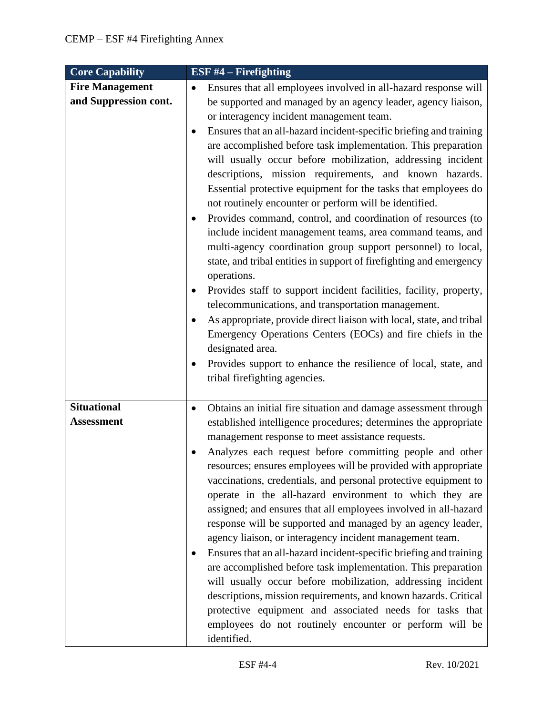| <b>Core Capability</b>                          | ESF $#4$ – Firefighting                                                                                                                                                                                                                                                                                                                                                                                                                                                                                                                                                                                                                                                                                                                                                                                                                                                                                                                                                                                                                                                                                                                                                                                                                 |
|-------------------------------------------------|-----------------------------------------------------------------------------------------------------------------------------------------------------------------------------------------------------------------------------------------------------------------------------------------------------------------------------------------------------------------------------------------------------------------------------------------------------------------------------------------------------------------------------------------------------------------------------------------------------------------------------------------------------------------------------------------------------------------------------------------------------------------------------------------------------------------------------------------------------------------------------------------------------------------------------------------------------------------------------------------------------------------------------------------------------------------------------------------------------------------------------------------------------------------------------------------------------------------------------------------|
| <b>Fire Management</b><br>and Suppression cont. | Ensures that all employees involved in all-hazard response will<br>$\bullet$<br>be supported and managed by an agency leader, agency liaison,<br>or interagency incident management team.<br>Ensures that an all-hazard incident-specific briefing and training<br>٠<br>are accomplished before task implementation. This preparation<br>will usually occur before mobilization, addressing incident<br>descriptions, mission requirements, and known hazards.<br>Essential protective equipment for the tasks that employees do<br>not routinely encounter or perform will be identified.<br>Provides command, control, and coordination of resources (to<br>include incident management teams, area command teams, and<br>multi-agency coordination group support personnel) to local,<br>state, and tribal entities in support of firefighting and emergency<br>operations.<br>Provides staff to support incident facilities, facility, property,<br>telecommunications, and transportation management.<br>As appropriate, provide direct liaison with local, state, and tribal<br>Emergency Operations Centers (EOCs) and fire chiefs in the<br>designated area.<br>Provides support to enhance the resilience of local, state, and |
| <b>Situational</b><br><b>Assessment</b>         | tribal firefighting agencies.<br>Obtains an initial fire situation and damage assessment through<br>$\bullet$<br>established intelligence procedures; determines the appropriate<br>management response to meet assistance requests.<br>Analyzes each request before committing people and other<br>resources; ensures employees will be provided with appropriate<br>vaccinations, credentials, and personal protective equipment to<br>operate in the all-hazard environment to which they are<br>assigned; and ensures that all employees involved in all-hazard<br>response will be supported and managed by an agency leader,<br>agency liaison, or interagency incident management team.<br>Ensures that an all-hazard incident-specific briefing and training<br>are accomplished before task implementation. This preparation<br>will usually occur before mobilization, addressing incident<br>descriptions, mission requirements, and known hazards. Critical<br>protective equipment and associated needs for tasks that<br>employees do not routinely encounter or perform will be<br>identified.                                                                                                                           |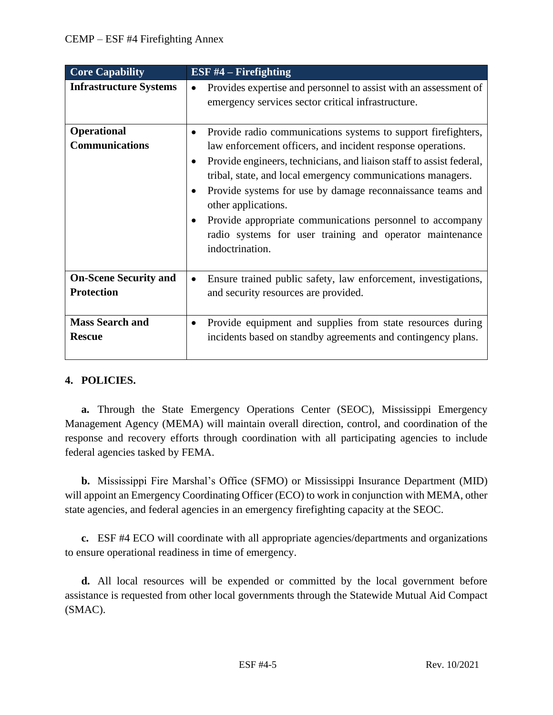| <b>Core Capability</b>                              | ESF $#4$ – Firefighting                                                                                                                                                                                                                                                                                                                                                                                                             |
|-----------------------------------------------------|-------------------------------------------------------------------------------------------------------------------------------------------------------------------------------------------------------------------------------------------------------------------------------------------------------------------------------------------------------------------------------------------------------------------------------------|
| <b>Infrastructure Systems</b><br><b>Operational</b> | Provides expertise and personnel to assist with an assessment of<br>emergency services sector critical infrastructure.<br>Provide radio communications systems to support firefighters,<br>$\bullet$                                                                                                                                                                                                                                |
| <b>Communications</b>                               | law enforcement officers, and incident response operations.<br>Provide engineers, technicians, and liaison staff to assist federal,<br>tribal, state, and local emergency communications managers.<br>Provide systems for use by damage reconnaissance teams and<br>other applications.<br>Provide appropriate communications personnel to accompany<br>radio systems for user training and operator maintenance<br>indoctrination. |
| <b>On-Scene Security and</b><br><b>Protection</b>   | Ensure trained public safety, law enforcement, investigations,<br>and security resources are provided.                                                                                                                                                                                                                                                                                                                              |
| <b>Mass Search and</b><br><b>Rescue</b>             | Provide equipment and supplies from state resources during<br>$\bullet$<br>incidents based on standby agreements and contingency plans.                                                                                                                                                                                                                                                                                             |

# **4. POLICIES.**

**a.** Through the State Emergency Operations Center (SEOC), Mississippi Emergency Management Agency (MEMA) will maintain overall direction, control, and coordination of the response and recovery efforts through coordination with all participating agencies to include federal agencies tasked by FEMA.

**b.** Mississippi Fire Marshal's Office (SFMO) or Mississippi Insurance Department (MID) will appoint an Emergency Coordinating Officer (ECO) to work in conjunction with MEMA, other state agencies, and federal agencies in an emergency firefighting capacity at the SEOC.

**c.** ESF #4 ECO will coordinate with all appropriate agencies/departments and organizations to ensure operational readiness in time of emergency.

**d.** All local resources will be expended or committed by the local government before assistance is requested from other local governments through the Statewide Mutual Aid Compact (SMAC).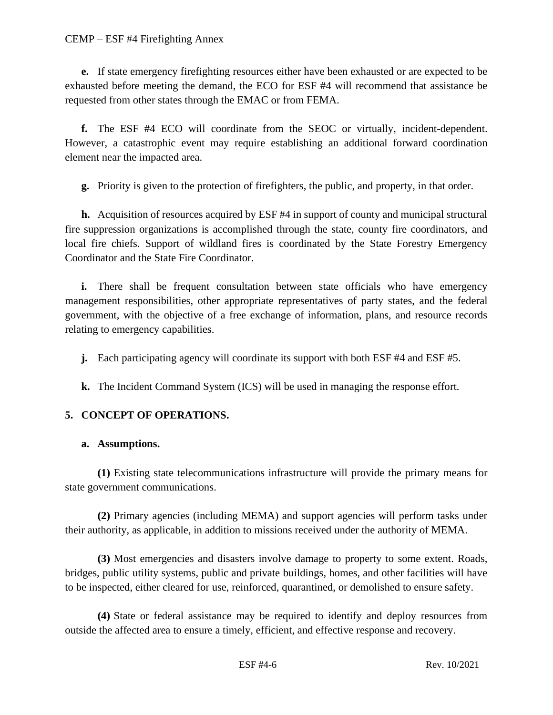#### CEMP – ESF #4 Firefighting Annex

**e.** If state emergency firefighting resources either have been exhausted or are expected to be exhausted before meeting the demand, the ECO for ESF #4 will recommend that assistance be requested from other states through the EMAC or from FEMA.

**f.** The ESF #4 ECO will coordinate from the SEOC or virtually, incident-dependent. However, a catastrophic event may require establishing an additional forward coordination element near the impacted area.

**g.** Priority is given to the protection of firefighters, the public, and property, in that order.

**h.** Acquisition of resources acquired by ESF #4 in support of county and municipal structural fire suppression organizations is accomplished through the state, county fire coordinators, and local fire chiefs. Support of wildland fires is coordinated by the State Forestry Emergency Coordinator and the State Fire Coordinator.

**i.** There shall be frequent consultation between state officials who have emergency management responsibilities, other appropriate representatives of party states, and the federal government, with the objective of a free exchange of information, plans, and resource records relating to emergency capabilities.

**j.** Each participating agency will coordinate its support with both ESF #4 and ESF #5.

**k.** The Incident Command System (ICS) will be used in managing the response effort.

# **5. CONCEPT OF OPERATIONS.**

## **a. Assumptions.**

**(1)** Existing state telecommunications infrastructure will provide the primary means for state government communications.

**(2)** Primary agencies (including MEMA) and support agencies will perform tasks under their authority, as applicable, in addition to missions received under the authority of MEMA.

**(3)** Most emergencies and disasters involve damage to property to some extent. Roads, bridges, public utility systems, public and private buildings, homes, and other facilities will have to be inspected, either cleared for use, reinforced, quarantined, or demolished to ensure safety.

**(4)** State or federal assistance may be required to identify and deploy resources from outside the affected area to ensure a timely, efficient, and effective response and recovery.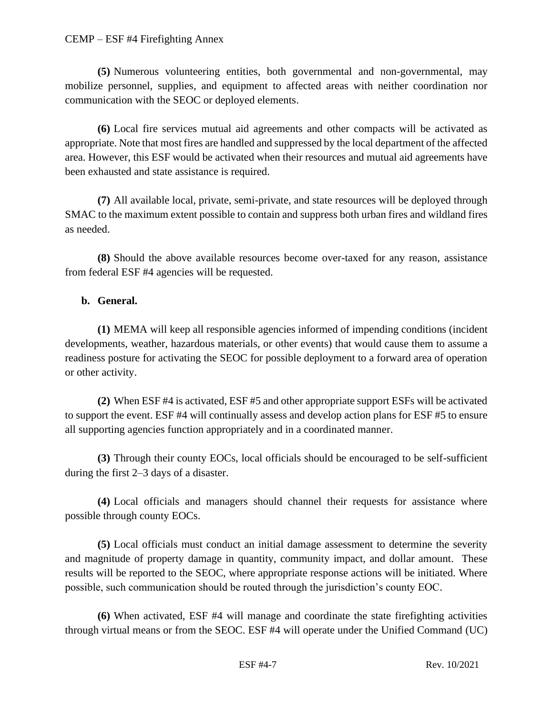#### CEMP – ESF #4 Firefighting Annex

**(5)** Numerous volunteering entities, both governmental and non-governmental, may mobilize personnel, supplies, and equipment to affected areas with neither coordination nor communication with the SEOC or deployed elements.

**(6)** Local fire services mutual aid agreements and other compacts will be activated as appropriate. Note that most fires are handled and suppressed by the local department of the affected area. However, this ESF would be activated when their resources and mutual aid agreements have been exhausted and state assistance is required.

**(7)** All available local, private, semi-private, and state resources will be deployed through SMAC to the maximum extent possible to contain and suppress both urban fires and wildland fires as needed.

**(8)** Should the above available resources become over-taxed for any reason, assistance from federal ESF #4 agencies will be requested.

#### **b. General.**

**(1)** MEMA will keep all responsible agencies informed of impending conditions (incident developments, weather, hazardous materials, or other events) that would cause them to assume a readiness posture for activating the SEOC for possible deployment to a forward area of operation or other activity.

**(2)** When ESF #4 is activated, ESF #5 and other appropriate support ESFs will be activated to support the event. ESF #4 will continually assess and develop action plans for ESF #5 to ensure all supporting agencies function appropriately and in a coordinated manner.

**(3)** Through their county EOCs, local officials should be encouraged to be self-sufficient during the first 2–3 days of a disaster.

**(4)** Local officials and managers should channel their requests for assistance where possible through county EOCs.

**(5)** Local officials must conduct an initial damage assessment to determine the severity and magnitude of property damage in quantity, community impact, and dollar amount. These results will be reported to the SEOC, where appropriate response actions will be initiated. Where possible, such communication should be routed through the jurisdiction's county EOC.

**(6)** When activated, ESF #4 will manage and coordinate the state firefighting activities through virtual means or from the SEOC. ESF #4 will operate under the Unified Command (UC)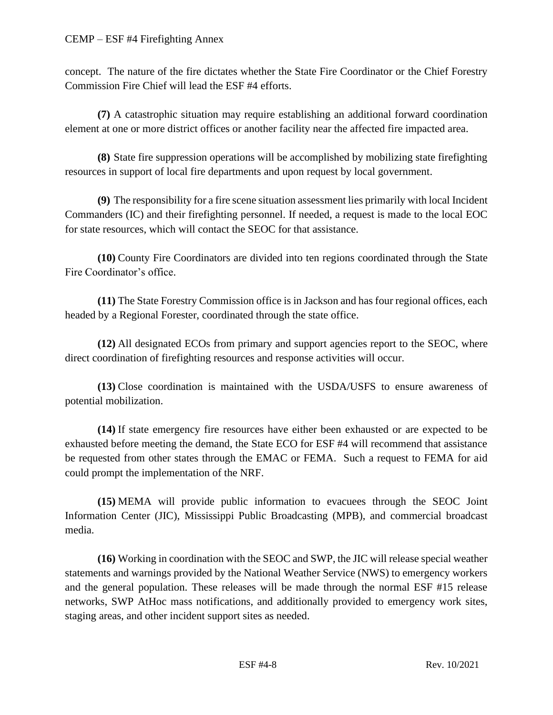concept. The nature of the fire dictates whether the State Fire Coordinator or the Chief Forestry Commission Fire Chief will lead the ESF #4 efforts.

**(7)** A catastrophic situation may require establishing an additional forward coordination element at one or more district offices or another facility near the affected fire impacted area.

**(8)** State fire suppression operations will be accomplished by mobilizing state firefighting resources in support of local fire departments and upon request by local government.

**(9)** The responsibility for a fire scene situation assessment lies primarily with local Incident Commanders (IC) and their firefighting personnel. If needed, a request is made to the local EOC for state resources, which will contact the SEOC for that assistance.

**(10)** County Fire Coordinators are divided into ten regions coordinated through the State Fire Coordinator's office.

**(11)** The State Forestry Commission office is in Jackson and has four regional offices, each headed by a Regional Forester, coordinated through the state office.

**(12)** All designated ECOs from primary and support agencies report to the SEOC, where direct coordination of firefighting resources and response activities will occur.

**(13)** Close coordination is maintained with the USDA/USFS to ensure awareness of potential mobilization.

**(14)** If state emergency fire resources have either been exhausted or are expected to be exhausted before meeting the demand, the State ECO for ESF #4 will recommend that assistance be requested from other states through the EMAC or FEMA. Such a request to FEMA for aid could prompt the implementation of the NRF.

**(15)** MEMA will provide public information to evacuees through the SEOC Joint Information Center (JIC), Mississippi Public Broadcasting (MPB), and commercial broadcast media.

**(16)** Working in coordination with the SEOC and SWP, the JIC will release special weather statements and warnings provided by the National Weather Service (NWS) to emergency workers and the general population. These releases will be made through the normal ESF #15 release networks, SWP AtHoc mass notifications, and additionally provided to emergency work sites, staging areas, and other incident support sites as needed.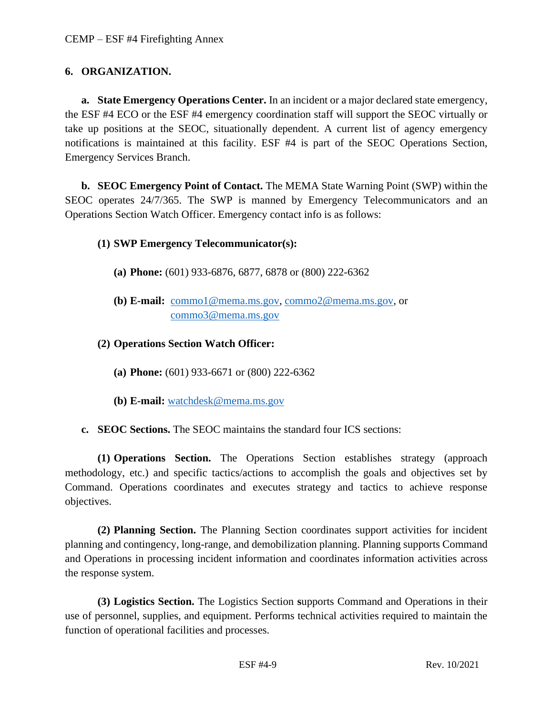# **6. ORGANIZATION.**

**a. State Emergency Operations Center.** In an incident or a major declared state emergency, the ESF #4 ECO or the ESF #4 emergency coordination staff will support the SEOC virtually or take up positions at the SEOC, situationally dependent. A current list of agency emergency notifications is maintained at this facility. ESF #4 is part of the SEOC Operations Section, Emergency Services Branch.

**b. SEOC Emergency Point of Contact.** The MEMA State Warning Point (SWP) within the SEOC operates 24/7/365. The SWP is manned by Emergency Telecommunicators and an Operations Section Watch Officer. Emergency contact info is as follows:

# **(1) SWP Emergency Telecommunicator(s):**

- **(a) Phone:** (601) 933-6876, 6877, 6878 or (800) 222-6362
- **(b) E-mail:** [commo1@mema.ms.gov,](mailto:commo1@mema.ms.gov) [commo2@mema.ms.gov,](mailto:commo2@mema.ms.gov) or [commo3@mema.ms.gov](mailto:commo3@mema.ms.gov)

# **(2) Operations Section Watch Officer:**

- **(a) Phone:** (601) 933-6671 or (800) 222-6362
- **(b) E-mail:** [watchdesk@mema.ms.gov](mailto:watchdesk@mema.ms.gov)
- **c. SEOC Sections.** The SEOC maintains the standard four ICS sections:

**(1) Operations Section.** The Operations Section establishes strategy (approach methodology, etc.) and specific tactics/actions to accomplish the goals and objectives set by Command. Operations coordinates and executes strategy and tactics to achieve response objectives.

**(2) Planning Section.** The Planning Section coordinates support activities for incident planning and contingency, long-range, and demobilization planning. Planning supports Command and Operations in processing incident information and coordinates information activities across the response system.

**(3) Logistics Section.** The Logistics Section **s**upports Command and Operations in their use of personnel, supplies, and equipment. Performs technical activities required to maintain the function of operational facilities and processes.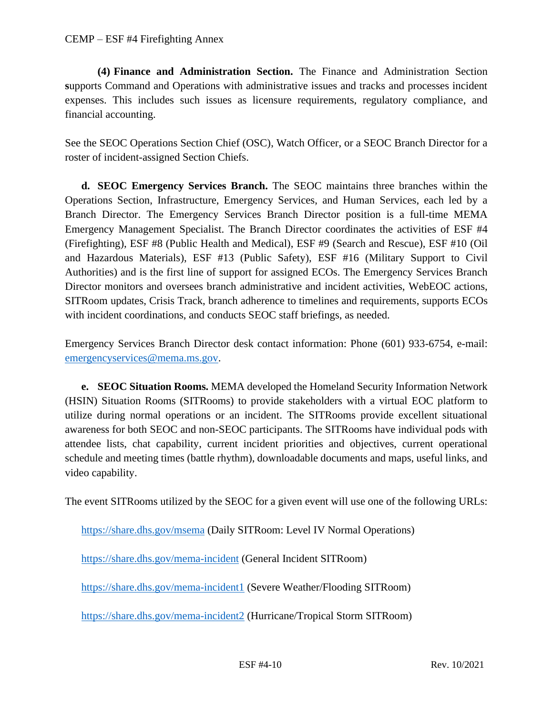**(4) Finance and Administration Section.** The Finance and Administration Section **s**upports Command and Operations with administrative issues and tracks and processes incident expenses. This includes such issues as licensure requirements, regulatory compliance, and financial accounting.

See the SEOC Operations Section Chief (OSC), Watch Officer, or a SEOC Branch Director for a roster of incident-assigned Section Chiefs.

**d. SEOC Emergency Services Branch.** The SEOC maintains three branches within the Operations Section, Infrastructure, Emergency Services, and Human Services, each led by a Branch Director. The Emergency Services Branch Director position is a full-time MEMA Emergency Management Specialist. The Branch Director coordinates the activities of ESF #4 (Firefighting), ESF #8 (Public Health and Medical), ESF #9 (Search and Rescue), ESF #10 (Oil and Hazardous Materials), ESF #13 (Public Safety), ESF #16 (Military Support to Civil Authorities) and is the first line of support for assigned ECOs. The Emergency Services Branch Director monitors and oversees branch administrative and incident activities, WebEOC actions, SITRoom updates, Crisis Track, branch adherence to timelines and requirements, supports ECOs with incident coordinations, and conducts SEOC staff briefings, as needed.

Emergency Services Branch Director desk contact information: Phone (601) 933-6754, e-mail: [emergencyservices@mema.ms.gov.](mailto:emergencyservices@mema.ms.gov)

**e. SEOC Situation Rooms.** MEMA developed the Homeland Security Information Network (HSIN) Situation Rooms (SITRooms) to provide stakeholders with a virtual EOC platform to utilize during normal operations or an incident. The SITRooms provide excellent situational awareness for both SEOC and non-SEOC participants. The SITRooms have individual pods with attendee lists, chat capability, current incident priorities and objectives, current operational schedule and meeting times (battle rhythm), downloadable documents and maps, useful links, and video capability.

The event SITRooms utilized by the SEOC for a given event will use one of the following URLs:

<https://share.dhs.gov/msema> (Daily SITRoom: Level IV Normal Operations)

<https://share.dhs.gov/mema-incident> (General Incident SITRoom)

<https://share.dhs.gov/mema-incident1> (Severe Weather/Flooding SITRoom)

<https://share.dhs.gov/mema-incident2> (Hurricane/Tropical Storm SITRoom)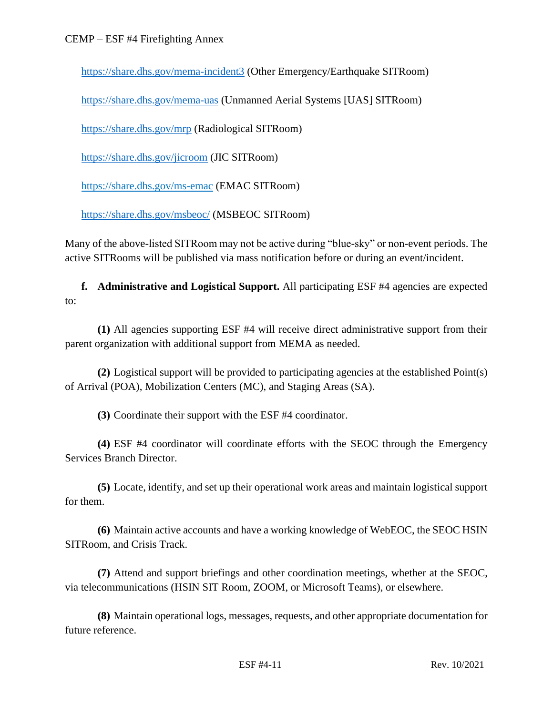<https://share.dhs.gov/mema-incident3> (Other Emergency/Earthquake SITRoom)

<https://share.dhs.gov/mema-uas> (Unmanned Aerial Systems [UAS] SITRoom)

<https://share.dhs.gov/mrp> (Radiological SITRoom)

<https://share.dhs.gov/jicroom> (JIC SITRoom)

<https://share.dhs.gov/ms-emac> (EMAC SITRoom)

<https://share.dhs.gov/msbeoc/> (MSBEOC SITRoom)

Many of the above-listed SITRoom may not be active during "blue-sky" or non-event periods. The active SITRooms will be published via mass notification before or during an event/incident.

**f. Administrative and Logistical Support.** All participating ESF #4 agencies are expected to:

**(1)** All agencies supporting ESF #4 will receive direct administrative support from their parent organization with additional support from MEMA as needed.

**(2)** Logistical support will be provided to participating agencies at the established Point(s) of Arrival (POA), Mobilization Centers (MC), and Staging Areas (SA).

**(3)** Coordinate their support with the ESF #4 coordinator.

**(4)** ESF #4 coordinator will coordinate efforts with the SEOC through the Emergency Services Branch Director.

**(5)** Locate, identify, and set up their operational work areas and maintain logistical support for them.

**(6)** Maintain active accounts and have a working knowledge of WebEOC, the SEOC HSIN SITRoom, and Crisis Track.

**(7)** Attend and support briefings and other coordination meetings, whether at the SEOC, via telecommunications (HSIN SIT Room, ZOOM, or Microsoft Teams), or elsewhere.

**(8)** Maintain operational logs, messages, requests, and other appropriate documentation for future reference.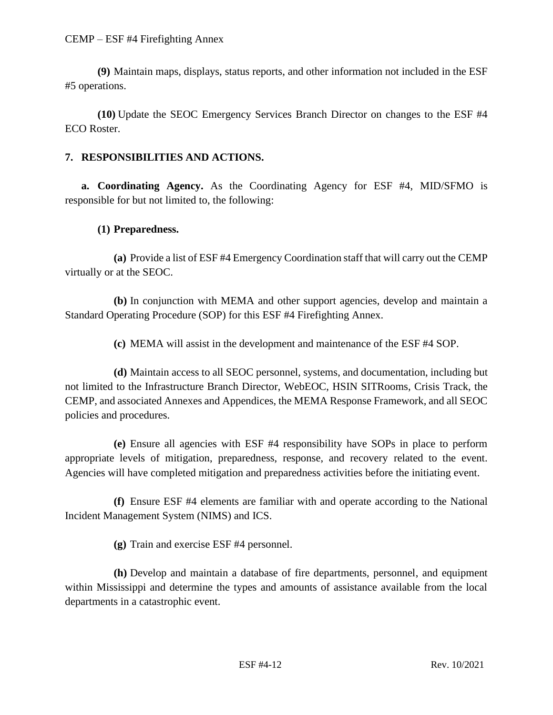**(9)** Maintain maps, displays, status reports, and other information not included in the ESF #5 operations.

**(10)** Update the SEOC Emergency Services Branch Director on changes to the ESF #4 ECO Roster.

# **7. RESPONSIBILITIES AND ACTIONS.**

**a. Coordinating Agency.** As the Coordinating Agency for ESF #4, MID/SFMO is responsible for but not limited to, the following:

## **(1) Preparedness.**

**(a)** Provide a list of ESF #4 Emergency Coordination staff that will carry out the CEMP virtually or at the SEOC.

**(b)** In conjunction with MEMA and other support agencies, develop and maintain a Standard Operating Procedure (SOP) for this ESF #4 Firefighting Annex.

**(c)** MEMA will assist in the development and maintenance of the ESF #4 SOP.

**(d)** Maintain access to all SEOC personnel, systems, and documentation, including but not limited to the Infrastructure Branch Director, WebEOC, HSIN SITRooms, Crisis Track, the CEMP, and associated Annexes and Appendices, the MEMA Response Framework, and all SEOC policies and procedures.

**(e)** Ensure all agencies with ESF #4 responsibility have SOPs in place to perform appropriate levels of mitigation, preparedness, response, and recovery related to the event. Agencies will have completed mitigation and preparedness activities before the initiating event.

**(f)** Ensure ESF #4 elements are familiar with and operate according to the National Incident Management System (NIMS) and ICS.

**(g)** Train and exercise ESF #4 personnel.

**(h)** Develop and maintain a database of fire departments, personnel, and equipment within Mississippi and determine the types and amounts of assistance available from the local departments in a catastrophic event.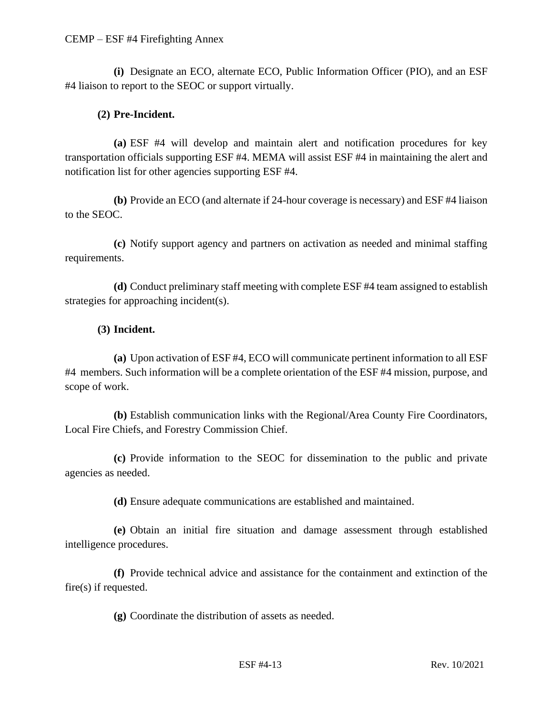#### CEMP – ESF #4 Firefighting Annex

**(i)** Designate an ECO, alternate ECO, Public Information Officer (PIO), and an ESF #4 liaison to report to the SEOC or support virtually.

# **(2) Pre-Incident.**

**(a)** ESF #4 will develop and maintain alert and notification procedures for key transportation officials supporting ESF #4. MEMA will assist ESF #4 in maintaining the alert and notification list for other agencies supporting ESF #4.

**(b)** Provide an ECO (and alternate if 24-hour coverage is necessary) and ESF #4 liaison to the SEOC.

**(c)** Notify support agency and partners on activation as needed and minimal staffing requirements.

**(d)** Conduct preliminary staff meeting with complete ESF #4 team assigned to establish strategies for approaching incident(s).

## **(3) Incident.**

**(a)** Upon activation of ESF #4, ECO will communicate pertinent information to all ESF #4 members. Such information will be a complete orientation of the ESF #4 mission, purpose, and scope of work.

**(b)** Establish communication links with the Regional/Area County Fire Coordinators, Local Fire Chiefs, and Forestry Commission Chief.

**(c)** Provide information to the SEOC for dissemination to the public and private agencies as needed.

**(d)** Ensure adequate communications are established and maintained.

**(e)** Obtain an initial fire situation and damage assessment through established intelligence procedures.

**(f)** Provide technical advice and assistance for the containment and extinction of the fire(s) if requested.

**(g)** Coordinate the distribution of assets as needed.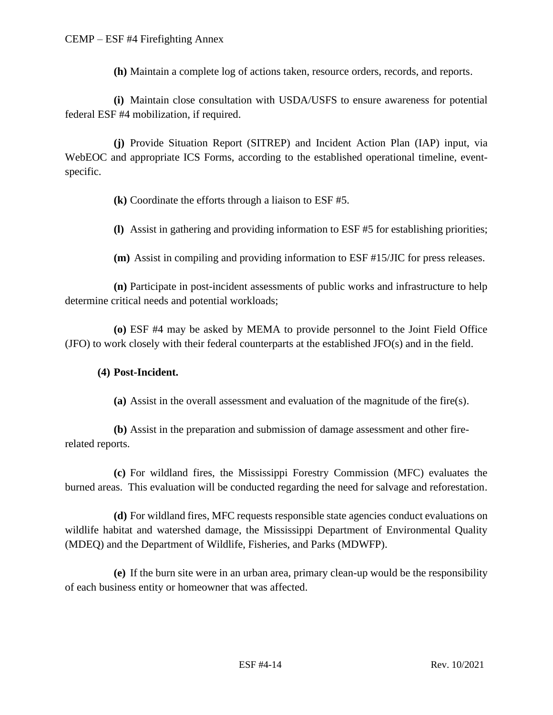**(h)** Maintain a complete log of actions taken, resource orders, records, and reports.

**(i)** Maintain close consultation with USDA/USFS to ensure awareness for potential federal ESF #4 mobilization, if required.

**(j)** Provide Situation Report (SITREP) and Incident Action Plan (IAP) input, via WebEOC and appropriate ICS Forms, according to the established operational timeline, eventspecific.

**(k)** Coordinate the efforts through a liaison to ESF #5.

**(l)** Assist in gathering and providing information to ESF #5 for establishing priorities;

**(m)** Assist in compiling and providing information to ESF #15/JIC for press releases.

**(n)** Participate in post-incident assessments of public works and infrastructure to help determine critical needs and potential workloads;

**(o)** ESF #4 may be asked by MEMA to provide personnel to the Joint Field Office (JFO) to work closely with their federal counterparts at the established JFO(s) and in the field.

#### **(4) Post-Incident.**

**(a)** Assist in the overall assessment and evaluation of the magnitude of the fire(s).

**(b)** Assist in the preparation and submission of damage assessment and other firerelated reports.

**(c)** For wildland fires, the Mississippi Forestry Commission (MFC) evaluates the burned areas. This evaluation will be conducted regarding the need for salvage and reforestation.

**(d)** For wildland fires, MFC requests responsible state agencies conduct evaluations on wildlife habitat and watershed damage, the Mississippi Department of Environmental Quality (MDEQ) and the Department of Wildlife, Fisheries, and Parks (MDWFP).

**(e)** If the burn site were in an urban area, primary clean-up would be the responsibility of each business entity or homeowner that was affected.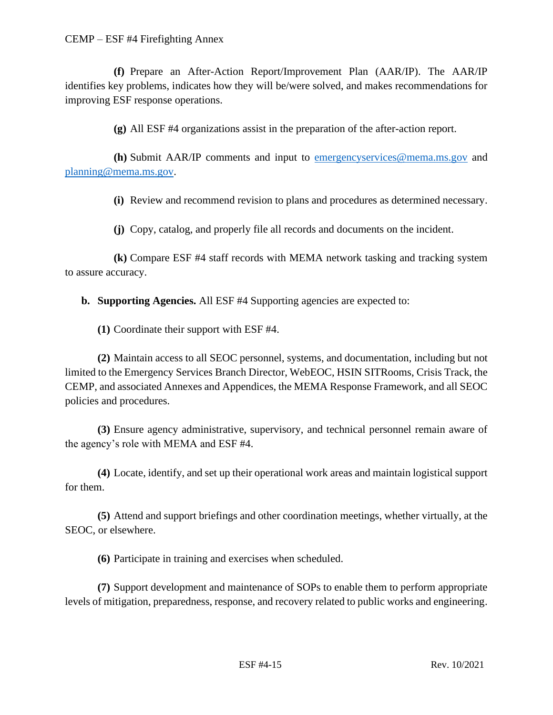**(f)** Prepare an After-Action Report/Improvement Plan (AAR/IP). The AAR/IP identifies key problems, indicates how they will be/were solved, and makes recommendations for improving ESF response operations.

**(g)** All ESF #4 organizations assist in the preparation of the after-action report.

**(h)** Submit AAR/IP comments and input to [emergencyservices@mema.ms.gov](mailto:emergencyservices@mema.ms.gov) and [planning@mema.ms.gov.](mailto:planning@mema.ms.gov)

**(i)** Review and recommend revision to plans and procedures as determined necessary.

**(j)** Copy, catalog, and properly file all records and documents on the incident.

**(k)** Compare ESF #4 staff records with MEMA network tasking and tracking system to assure accuracy.

**b. Supporting Agencies.** All ESF #4 Supporting agencies are expected to:

**(1)** Coordinate their support with ESF #4.

**(2)** Maintain access to all SEOC personnel, systems, and documentation, including but not limited to the Emergency Services Branch Director, WebEOC, HSIN SITRooms, Crisis Track, the CEMP, and associated Annexes and Appendices, the MEMA Response Framework, and all SEOC policies and procedures.

**(3)** Ensure agency administrative, supervisory, and technical personnel remain aware of the agency's role with MEMA and ESF #4.

**(4)** Locate, identify, and set up their operational work areas and maintain logistical support for them.

**(5)** Attend and support briefings and other coordination meetings, whether virtually, at the SEOC, or elsewhere.

**(6)** Participate in training and exercises when scheduled.

**(7)** Support development and maintenance of SOPs to enable them to perform appropriate levels of mitigation, preparedness, response, and recovery related to public works and engineering.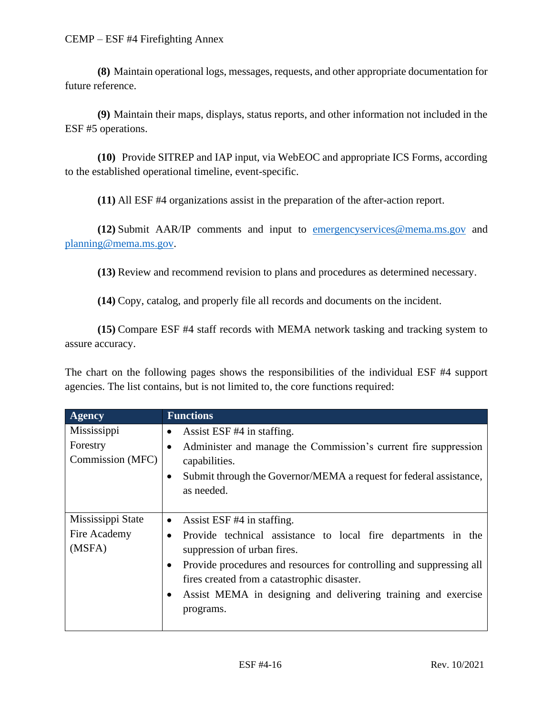**(8)** Maintain operational logs, messages, requests, and other appropriate documentation for future reference.

**(9)** Maintain their maps, displays, status reports, and other information not included in the ESF #5 operations.

**(10)** Provide SITREP and IAP input, via WebEOC and appropriate ICS Forms, according to the established operational timeline, event-specific.

**(11)** All ESF #4 organizations assist in the preparation of the after-action report.

**(12)** Submit AAR/IP comments and input to [emergencyservices@mema.ms.gov](mailto:emergencyservices@mema.ms.gov) and [planning@mema.ms.gov.](mailto:planning@mema.ms.gov)

**(13)** Review and recommend revision to plans and procedures as determined necessary.

**(14)** Copy, catalog, and properly file all records and documents on the incident.

**(15)** Compare ESF #4 staff records with MEMA network tasking and tracking system to assure accuracy.

The chart on the following pages shows the responsibilities of the individual ESF #4 support agencies. The list contains, but is not limited to, the core functions required:

| <b>Agency</b>                               | <b>Functions</b>                                                                                                                                                                                                                                                                                                                                                       |
|---------------------------------------------|------------------------------------------------------------------------------------------------------------------------------------------------------------------------------------------------------------------------------------------------------------------------------------------------------------------------------------------------------------------------|
| Mississippi<br>Forestry<br>Commission (MFC) | Assist ESF #4 in staffing.<br>$\bullet$<br>Administer and manage the Commission's current fire suppression<br>capabilities.<br>Submit through the Governor/MEMA a request for federal assistance,<br>$\bullet$<br>as needed.                                                                                                                                           |
| Mississippi State<br>Fire Academy<br>(MSFA) | Assist ESF #4 in staffing.<br>$\bullet$<br>Provide technical assistance to local fire departments in the<br>$\bullet$<br>suppression of urban fires.<br>Provide procedures and resources for controlling and suppressing all<br>$\bullet$<br>fires created from a catastrophic disaster.<br>Assist MEMA in designing and delivering training and exercise<br>programs. |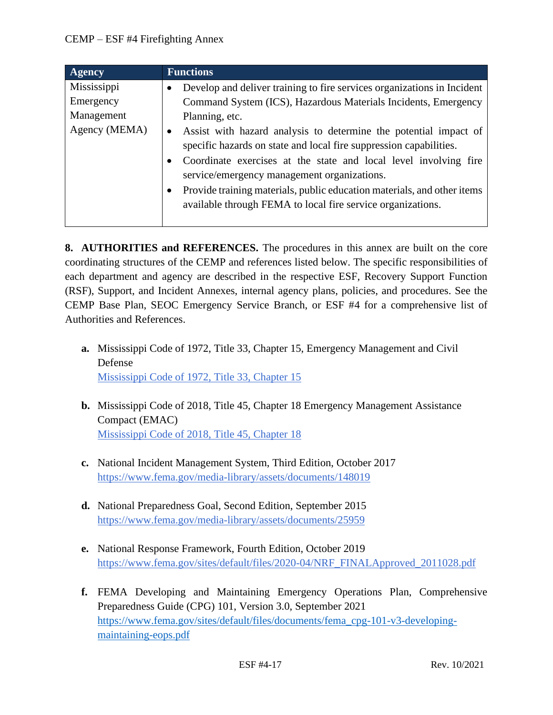| <b>Agency</b>                                           | <b>Functions</b>                                                                                                                                                                                                                                                                                                                                                                                                                                                                                                                                                                |
|---------------------------------------------------------|---------------------------------------------------------------------------------------------------------------------------------------------------------------------------------------------------------------------------------------------------------------------------------------------------------------------------------------------------------------------------------------------------------------------------------------------------------------------------------------------------------------------------------------------------------------------------------|
| Mississippi<br>Emergency<br>Management<br>Agency (MEMA) | Develop and deliver training to fire services organizations in Incident<br>Command System (ICS), Hazardous Materials Incidents, Emergency<br>Planning, etc.<br>Assist with hazard analysis to determine the potential impact of<br>$\bullet$<br>specific hazards on state and local fire suppression capabilities.<br>Coordinate exercises at the state and local level involving fire<br>service/emergency management organizations.<br>Provide training materials, public education materials, and other items<br>available through FEMA to local fire service organizations. |
|                                                         |                                                                                                                                                                                                                                                                                                                                                                                                                                                                                                                                                                                 |

**8. AUTHORITIES and REFERENCES.** The procedures in this annex are built on the core coordinating structures of the CEMP and references listed below. The specific responsibilities of each department and agency are described in the respective ESF, Recovery Support Function (RSF), Support, and Incident Annexes, internal agency plans, policies, and procedures. See the CEMP Base Plan, SEOC Emergency Service Branch, or ESF #4 for a comprehensive list of Authorities and References.

- **a.** Mississippi Code of 1972, Title 33, Chapter 15, Emergency Management and Civil Defense [Mississippi Code of 1972, Title 33, Chapter 15](https://law.justia.com/codes/mississippi/2010/title-33/15/)
- **b.** Mississippi Code of 2018, Title 45, Chapter 18 Emergency Management Assistance Compact (EMAC) [Mississippi Code of 2018, Title 45, Chapter 18](https://law.justia.com/codes/mississippi/2018/title-45/chapter-18/)
- **c.** National Incident Management System, Third Edition, October 2017 <https://www.fema.gov/media-library/assets/documents/148019>
- **d.** National Preparedness Goal, Second Edition, September 2015 <https://www.fema.gov/media-library/assets/documents/25959>
- **e.** National Response Framework, Fourth Edition, October 2019 [https://www.fema.gov/sites/default/files/2020-04/NRF\\_FINALApproved\\_2011028.pdf](https://www.fema.gov/sites/default/files/2020-04/NRF_FINALApproved_2011028.pdf)
- **f.** FEMA Developing and Maintaining Emergency Operations Plan, Comprehensive Preparedness Guide (CPG) 101, Version 3.0, September 2021 [https://www.fema.gov/sites/default/files/documents/fema\\_cpg-101-v3-developing](https://www.fema.gov/sites/default/files/documents/fema_cpg-101-v3-developing-maintaining-eops.pdf)[maintaining-eops.pdf](https://www.fema.gov/sites/default/files/documents/fema_cpg-101-v3-developing-maintaining-eops.pdf)